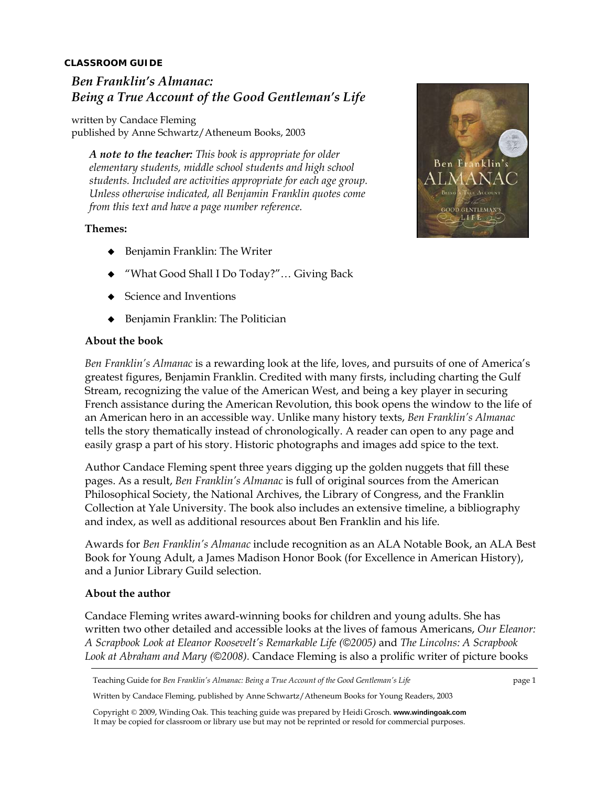## **CLASSROOM GUIDE**

# *Ben Franklin's Almanac: Being a True Account of the Good Gentleman's Life*

written by Candace Fleming published by Anne Schwartz/Atheneum Books, 2003

*A note to the teacher: This book is appropriate for older elementary students, middle school students and high school students. Included are activities appropriate for each age group. Unless otherwise indicated, all Benjamin Franklin quotes come from this text and have a page number reference.* 

## **Themes:**

- ◆ Benjamin Franklin: The Writer
- "What Good Shall I Do Today?"… Giving Back
- Science and Inventions
- ◆ Benjamin Franklin: The Politician

## **About the book**

*Ben Franklin's Almanac* is a rewarding look at the life, loves, and pursuits of one of America's greatest figures, Benjamin Franklin. Credited with many firsts, including charting the Gulf Stream, recognizing the value of the American West, and being a key player in securing French assistance during the American Revolution, this book opens the window to the life of an American hero in an accessible way. Unlike many history texts, *Ben Franklin's Almanac*  tells the story thematically instead of chronologically. A reader can open to any page and easily grasp a part of his story. Historic photographs and images add spice to the text.

Author Candace Fleming spent three years digging up the golden nuggets that fill these pages. As a result, *Ben Franklin's Almanac* is full of original sources from the American Philosophical Society, the National Archives, the Library of Congress, and the Franklin Collection at Yale University. The book also includes an extensive timeline, a bibliography and index, as well as additional resources about Ben Franklin and his life.

Awards for *Ben Franklin's Almanac* include recognition as an ALA Notable Book, an ALA Best Book for Young Adult, a James Madison Honor Book (for Excellence in American History), and a Junior Library Guild selection.

#### **About the author**

Candace Fleming writes award-winning books for children and young adults. She has written two other detailed and accessible looks at the lives of famous Americans, *Our Eleanor: A Scrapbook Look at Eleanor Roosevelt's Remarkable Life (©2005)* and *The Lincolns: A Scrapbook Look at Abraham and Mary (©2008).* Candace Fleming is also a prolific writer of picture books

Teaching Guide for *Ben Franklin's Almanac: Being a True Account of the Good Gentleman's Life* page 1

Written by Candace Fleming, published by Anne Schwartz/Atheneum Books for Young Readers, 2003

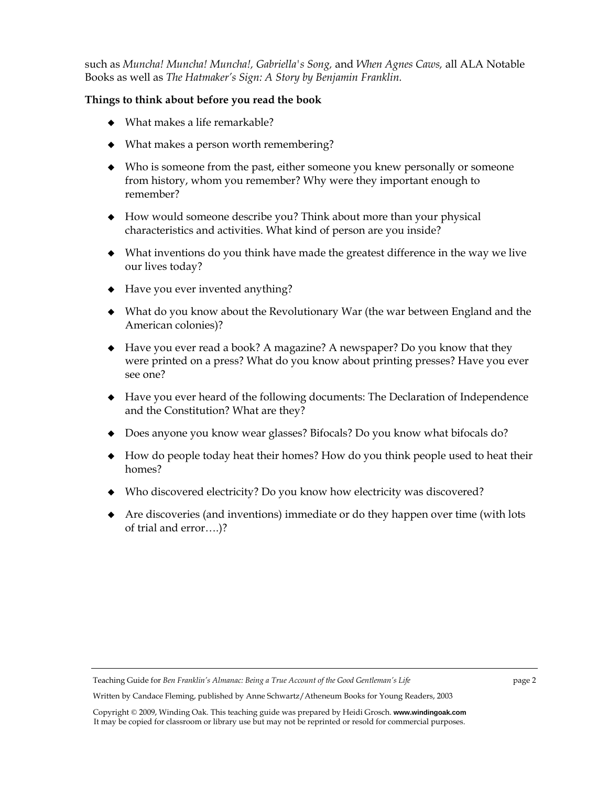such as *Muncha! Muncha! Muncha!, Gabriella's Song,* and *When Agnes Caws,* all ALA Notable Books as well as *The Hatmaker's Sign: A Story by Benjamin Franklin.* 

# **Things to think about before you read the book**

- What makes a life remarkable?
- What makes a person worth remembering?
- Who is someone from the past, either someone you knew personally or someone from history, whom you remember? Why were they important enough to remember?
- How would someone describe you? Think about more than your physical characteristics and activities. What kind of person are you inside?
- What inventions do you think have made the greatest difference in the way we live our lives today?
- Have you ever invented anything?
- What do you know about the Revolutionary War (the war between England and the American colonies)?
- Have you ever read a book? A magazine? A newspaper? Do you know that they were printed on a press? What do you know about printing presses? Have you ever see one?
- Have you ever heard of the following documents: The Declaration of Independence and the Constitution? What are they?
- Does anyone you know wear glasses? Bifocals? Do you know what bifocals do?
- How do people today heat their homes? How do you think people used to heat their homes?
- Who discovered electricity? Do you know how electricity was discovered?
- Are discoveries (and inventions) immediate or do they happen over time (with lots of trial and error….)?

Teaching Guide for *Ben Franklin's Almanac: Being a True Account of the Good Gentleman's Life* page 2

Written by Candace Fleming, published by Anne Schwartz/Atheneum Books for Young Readers, 2003

Copyright © 2009, Winding Oak. This teaching guide was prepared by Heidi Grosch. **www.windingoak.com**  It may be copied for classroom or library use but may not be reprinted or resold for commercial purposes.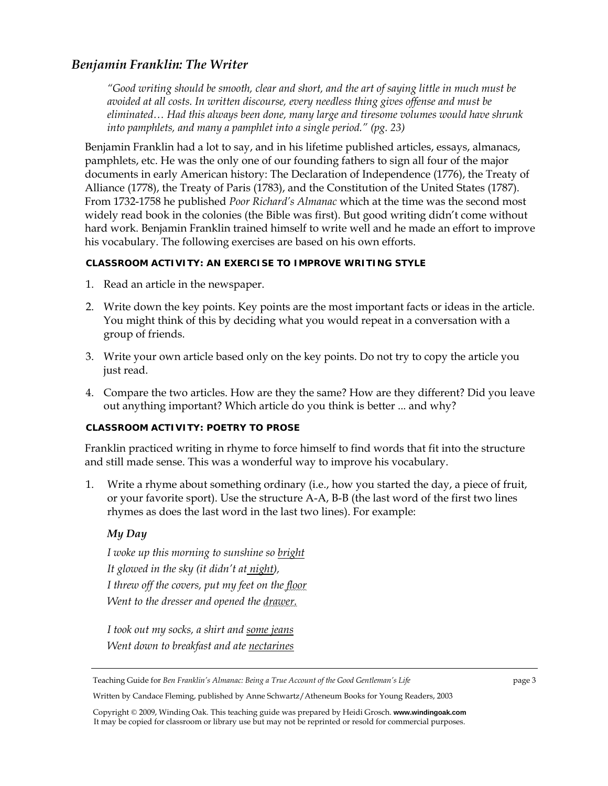# *Benjamin Franklin: The Writer*

*"Good writing should be smooth, clear and short, and the art of saying little in much must be avoided at all costs. In written discourse, every needless thing gives offense and must be eliminated… Had this always been done, many large and tiresome volumes would have shrunk into pamphlets, and many a pamphlet into a single period." (pg. 23)* 

Benjamin Franklin had a lot to say, and in his lifetime published articles, essays, almanacs, pamphlets, etc. He was the only one of our founding fathers to sign all four of the major documents in early American history: The Declaration of Independence (1776), the Treaty of Alliance (1778), the Treaty of Paris (1783), and the Constitution of the United States (1787). From 1732-1758 he published *Poor Richard's Almanac* which at the time was the second most widely read book in the colonies (the Bible was first). But good writing didn't come without hard work. Benjamin Franklin trained himself to write well and he made an effort to improve his vocabulary. The following exercises are based on his own efforts.

# **CLASSROOM ACTIVITY: AN EXERCISE TO IMPROVE WRITING STYLE**

- 1. Read an article in the newspaper.
- 2. Write down the key points. Key points are the most important facts or ideas in the article. You might think of this by deciding what you would repeat in a conversation with a group of friends.
- 3. Write your own article based only on the key points. Do not try to copy the article you just read.
- 4. Compare the two articles. How are they the same? How are they different? Did you leave out anything important? Which article do you think is better ... and why?

## **CLASSROOM ACTIVITY: POETRY TO PROSE**

Franklin practiced writing in rhyme to force himself to find words that fit into the structure and still made sense. This was a wonderful way to improve his vocabulary.

1. Write a rhyme about something ordinary (i.e., how you started the day, a piece of fruit, or your favorite sport). Use the structure A-A, B-B (the last word of the first two lines rhymes as does the last word in the last two lines). For example:

# *My Day*

*I woke up this morning to sunshine so bright It glowed in the sky (it didn't at night), I threw off the covers, put my feet on the floor Went to the dresser and opened the drawer.*

*I took out my socks, a shirt and some jeans Went down to breakfast and ate nectarines*

Written by Candace Fleming, published by Anne Schwartz/Atheneum Books for Young Readers, 2003

Teaching Guide for *Ben Franklin's Almanac: Being a True Account of the Good Gentleman's Life* page 3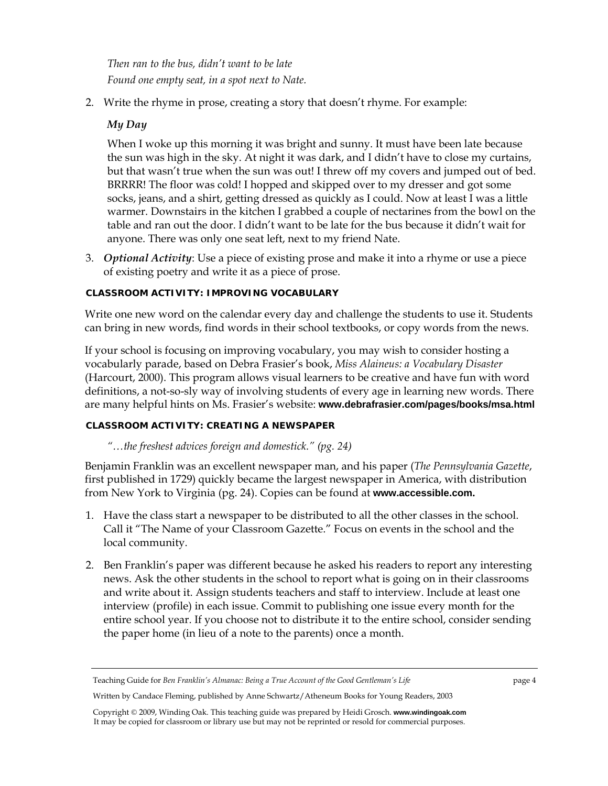*Then ran to the bus, didn't want to be late Found one empty seat, in a spot next to Nate.* 

2. Write the rhyme in prose, creating a story that doesn't rhyme. For example:

# *My Day*

When I woke up this morning it was bright and sunny. It must have been late because the sun was high in the sky. At night it was dark, and I didn't have to close my curtains, but that wasn't true when the sun was out! I threw off my covers and jumped out of bed. BRRRR! The floor was cold! I hopped and skipped over to my dresser and got some socks, jeans, and a shirt, getting dressed as quickly as I could. Now at least I was a little warmer. Downstairs in the kitchen I grabbed a couple of nectarines from the bowl on the table and ran out the door. I didn't want to be late for the bus because it didn't wait for anyone. There was only one seat left, next to my friend Nate.

3. *Optional Activity*: Use a piece of existing prose and make it into a rhyme or use a piece of existing poetry and write it as a piece of prose.

## **CLASSROOM ACTIVITY: IMPROVING VOCABULARY**

Write one new word on the calendar every day and challenge the students to use it. Students can bring in new words, find words in their school textbooks, or copy words from the news.

If your school is focusing on improving vocabulary, you may wish to consider hosting a vocabularly parade, based on Debra Frasier's book, *Miss Alaineus: a Vocabulary Disaster* (Harcourt, 2000). This program allows visual learners to be creative and have fun with word definitions, a not-so-sly way of involving students of every age in learning new words. There are many helpful hints on Ms. Frasier's website: **www.debrafrasier.com/pages/books/msa.html**

## **CLASSROOM ACTIVITY: CREATING A NEWSPAPER**

*"…the freshest advices foreign and domestick." (pg. 24)* 

Benjamin Franklin was an excellent newspaper man, and his paper (*The Pennsylvania Gazette*, first published in 1729) quickly became the largest newspaper in America, with distribution from New York to Virginia (pg. 24). Copies can be found at **www.accessible.com.** 

- 1. Have the class start a newspaper to be distributed to all the other classes in the school. Call it "The Name of your Classroom Gazette." Focus on events in the school and the local community.
- 2. Ben Franklin's paper was different because he asked his readers to report any interesting news. Ask the other students in the school to report what is going on in their classrooms and write about it. Assign students teachers and staff to interview. Include at least one interview (profile) in each issue. Commit to publishing one issue every month for the entire school year. If you choose not to distribute it to the entire school, consider sending the paper home (in lieu of a note to the parents) once a month.

Teaching Guide for *Ben Franklin's Almanac: Being a True Account of the Good Gentleman's Life* page 4

Written by Candace Fleming, published by Anne Schwartz/Atheneum Books for Young Readers, 2003

Copyright © 2009, Winding Oak. This teaching guide was prepared by Heidi Grosch. **www.windingoak.com**  It may be copied for classroom or library use but may not be reprinted or resold for commercial purposes.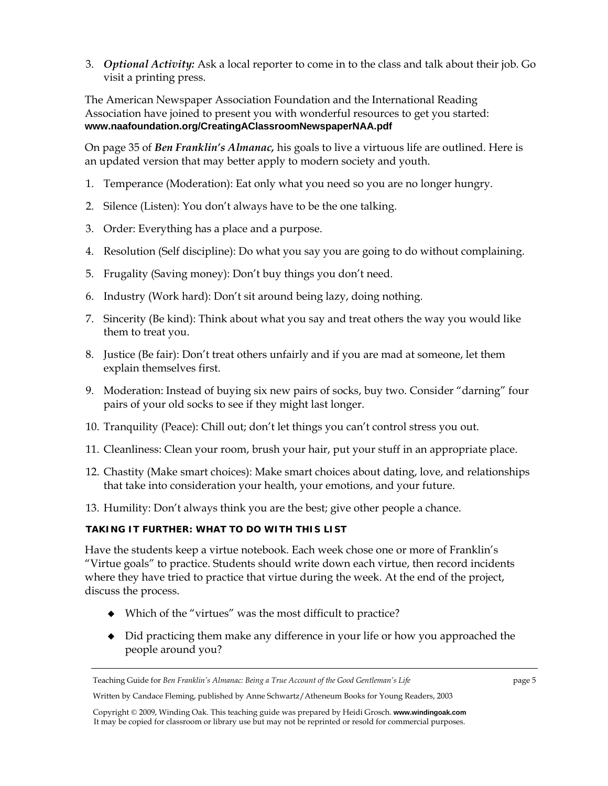3. *Optional Activity:* Ask a local reporter to come in to the class and talk about their job. Go visit a printing press.

The American Newspaper Association Foundation and the International Reading Association have joined to present you with wonderful resources to get you started: **www.naafoundation.org/CreatingAClassroomNewspaperNAA.pdf**

On page 35 of *Ben Franklin's Almanac,* his goals to live a virtuous life are outlined. Here is an updated version that may better apply to modern society and youth.

- 1. Temperance (Moderation): Eat only what you need so you are no longer hungry.
- 2. Silence (Listen): You don't always have to be the one talking.
- 3. Order: Everything has a place and a purpose.
- 4. Resolution (Self discipline): Do what you say you are going to do without complaining.
- 5. Frugality (Saving money): Don't buy things you don't need.
- 6. Industry (Work hard): Don't sit around being lazy, doing nothing.
- 7. Sincerity (Be kind): Think about what you say and treat others the way you would like them to treat you.
- 8. Justice (Be fair): Don't treat others unfairly and if you are mad at someone, let them explain themselves first.
- 9. Moderation: Instead of buying six new pairs of socks, buy two. Consider "darning" four pairs of your old socks to see if they might last longer.
- 10. Tranquility (Peace): Chill out; don't let things you can't control stress you out.
- 11. Cleanliness: Clean your room, brush your hair, put your stuff in an appropriate place.
- 12. Chastity (Make smart choices): Make smart choices about dating, love, and relationships that take into consideration your health, your emotions, and your future.
- 13. Humility: Don't always think you are the best; give other people a chance.

## **TAKING IT FURTHER: WHAT TO DO WITH THIS LIST**

Have the students keep a virtue notebook. Each week chose one or more of Franklin's "Virtue goals" to practice. Students should write down each virtue, then record incidents where they have tried to practice that virtue during the week. At the end of the project, discuss the process.

- Which of the "virtues" was the most difficult to practice?
- Did practicing them make any difference in your life or how you approached the people around you?

Teaching Guide for *Ben Franklin's Almanac: Being a True Account of the Good Gentleman's Life* page 5

Written by Candace Fleming, published by Anne Schwartz/Atheneum Books for Young Readers, 2003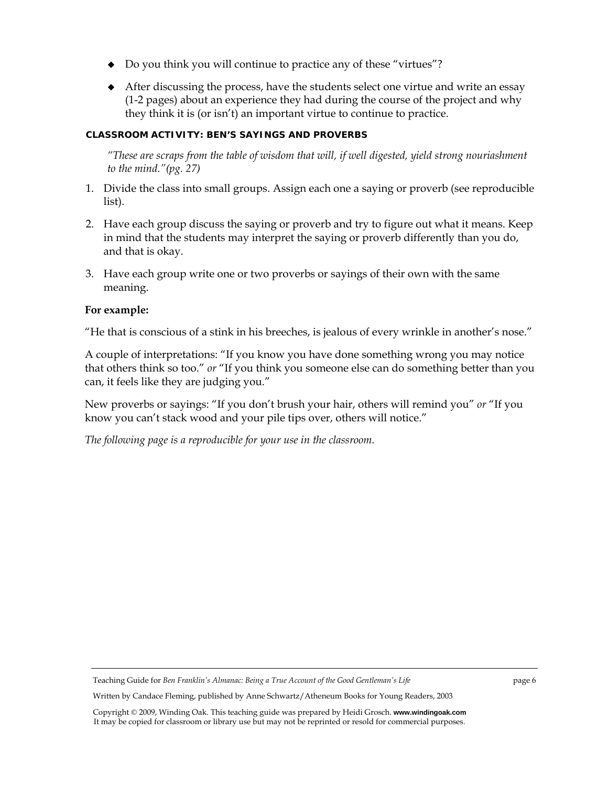- Do you think you will continue to practice any of these "virtues"?
- After discussing the process, have the students select one virtue and write an essay (1-2 pages) about an experience they had during the course of the project and why they think it is (or isn't) an important virtue to continue to practice.

## **CLASSROOM ACTIVITY: BEN'S SAYINGS AND PROVERBS**

*"These are scraps from the table of wisdom that will, if well digested, yield strong nouriashment to the mind."(pg. 27)* 

- 1. Divide the class into small groups. Assign each one a saying or proverb (see reproducible list).
- 2. Have each group discuss the saying or proverb and try to figure out what it means. Keep in mind that the students may interpret the saying or proverb differently than you do, and that is okay.
- 3. Have each group write one or two proverbs or sayings of their own with the same meaning.

## **For example:**

"He that is conscious of a stink in his breeches, is jealous of every wrinkle in another's nose."

A couple of interpretations: "If you know you have done something wrong you may notice that others think so too." *or* "If you think you someone else can do something better than you can, it feels like they are judging you."

New proverbs or sayings: "If you don't brush your hair, others will remind you" *or* "If you know you can't stack wood and your pile tips over, others will notice."

*The following page is a reproducible for your use in the classroom.* 

Teaching Guide for *Ben Franklin's Almanac: Being a True Account of the Good Gentleman's Life* page 6

Written by Candace Fleming, published by Anne Schwartz/Atheneum Books for Young Readers, 2003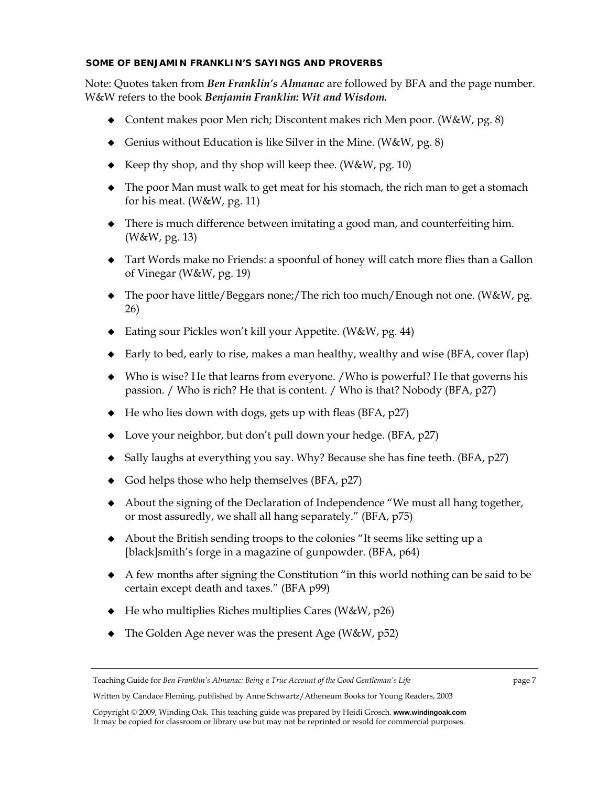## **SOME OF BENJAMIN FRANKLIN'S SAYINGS AND PROVERBS**

Note: Quotes taken from *Ben Franklin's Almanac* are followed by BFA and the page number. W&W refers to the book *Benjamin Franklin: Wit and Wisdom.* 

- Content makes poor Men rich; Discontent makes rich Men poor. (W&W, pg. 8)
- Genius without Education is like Silver in the Mine. (W&W, pg. 8)
- Example Keep thy shop, and thy shop will keep thee. (W&W, pg. 10)
- The poor Man must walk to get meat for his stomach, the rich man to get a stomach for his meat. (W&W, pg. 11)
- There is much difference between imitating a good man, and counterfeiting him. (W&W, pg. 13)
- Tart Words make no Friends: a spoonful of honey will catch more flies than a Gallon of Vinegar (W&W, pg. 19)
- ◆ The poor have little/Beggars none;/The rich too much/Enough not one. (W&W, pg. 26)
- ◆ Eating sour Pickles won't kill your Appetite. (W&W, pg. 44)
- ◆ Early to bed, early to rise, makes a man healthy, wealthy and wise (BFA, cover flap)
- Who is wise? He that learns from everyone. /Who is powerful? He that governs his passion. / Who is rich? He that is content. / Who is that? Nobody (BFA, p27)
- $\blacklozenge$  He who lies down with dogs, gets up with fleas (BFA, p27)
- ◆ Love your neighbor, but don't pull down your hedge. (BFA, p27)
- $\bullet$  Sally laughs at everything you say. Why? Because she has fine teeth. (BFA, p27)
- $\bullet$  God helps those who help themselves (BFA, p27)
- About the signing of the Declaration of Independence "We must all hang together, or most assuredly, we shall all hang separately." (BFA, p75)
- About the British sending troops to the colonies "It seems like setting up a [black]smith's forge in a magazine of gunpowder. (BFA, p64)
- A few months after signing the Constitution "in this world nothing can be said to be certain except death and taxes." (BFA p99)
- $\blacklozenge$  He who multiplies Riches multiplies Cares (W&W, p26)
- ◆ The Golden Age never was the present Age (W&W, p52)

Teaching Guide for *Ben Franklin's Almanac: Being a True Account of the Good Gentleman's Life* page 7

Written by Candace Fleming, published by Anne Schwartz/Atheneum Books for Young Readers, 2003

Copyright © 2009, Winding Oak. This teaching guide was prepared by Heidi Grosch. **www.windingoak.com**  It may be copied for classroom or library use but may not be reprinted or resold for commercial purposes.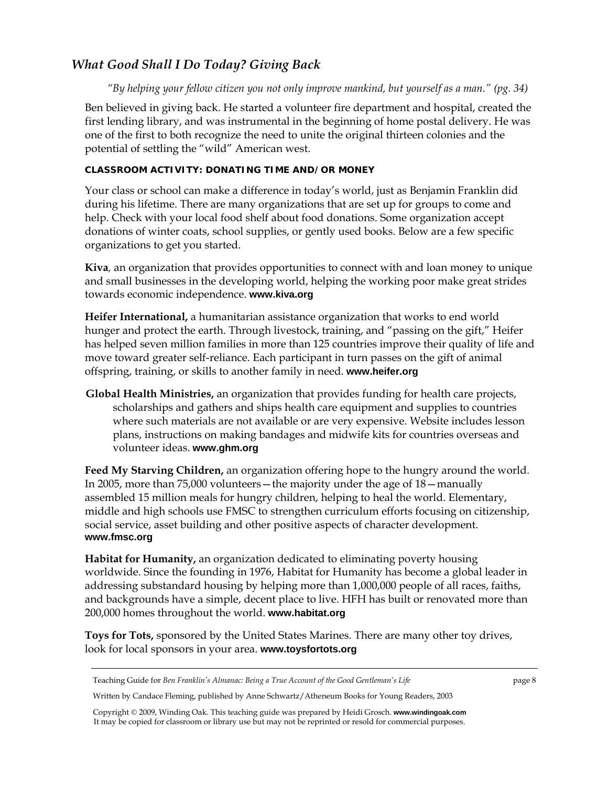# *What Good Shall I Do Today? Giving Back*

*"By helping your fellow citizen you not only improve mankind, but yourself as a man." (pg. 34)* 

Ben believed in giving back. He started a volunteer fire department and hospital, created the first lending library, and was instrumental in the beginning of home postal delivery. He was one of the first to both recognize the need to unite the original thirteen colonies and the potential of settling the "wild" American west.

# **CLASSROOM ACTIVITY: DONATING TIME AND/OR MONEY**

Your class or school can make a difference in today's world, just as Benjamin Franklin did during his lifetime. There are many organizations that are set up for groups to come and help. Check with your local food shelf about food donations. Some organization accept donations of winter coats, school supplies, or gently used books. Below are a few specific organizations to get you started.

**Kiva***,* an organization that provides opportunities to connect with and loan money to unique and small businesses in the developing world, helping the working poor make great strides towards economic independence. **www.kiva.org**

**Heifer International,** a humanitarian assistance organization that works to end world hunger and protect the earth. Through livestock, training, and "passing on the gift," Heifer has helped seven million families in more than 125 countries improve their quality of life and move toward greater self-reliance. Each participant in turn passes on the gift of animal offspring, training, or skills to another family in need. **www.heifer.org**

**Global Health Ministries,** an organization that provides funding for health care projects, scholarships and gathers and ships health care equipment and supplies to countries where such materials are not available or are very expensive. Website includes lesson plans, instructions on making bandages and midwife kits for countries overseas and volunteer ideas. **www.ghm.org**

**Feed My Starving Children,** an organization offering hope to the hungry around the world. In 2005, more than 75,000 volunteers—the majority under the age of 18—manually assembled 15 million meals for hungry children, helping to heal the world. Elementary, middle and high schools use FMSC to strengthen curriculum efforts focusing on citizenship, social service, asset building and other positive aspects of character development. **www.fmsc.org**

**Habitat for Humanity,** an organization dedicated to eliminating poverty housing worldwide. Since the founding in 1976, Habitat for Humanity has become a global leader in addressing substandard housing by helping more than 1,000,000 people of all races, faiths, and backgrounds have a simple, decent place to live. HFH has built or renovated more than 200,000 homes throughout the world. **www.habitat.org**

**Toys for Tots,** sponsored by the United States Marines. There are many other toy drives, look for local sponsors in your area. **www.toysfortots.org**

Teaching Guide for *Ben Franklin's Almanac: Being a True Account of the Good Gentleman's Life* page 8

Written by Candace Fleming, published by Anne Schwartz/Atheneum Books for Young Readers, 2003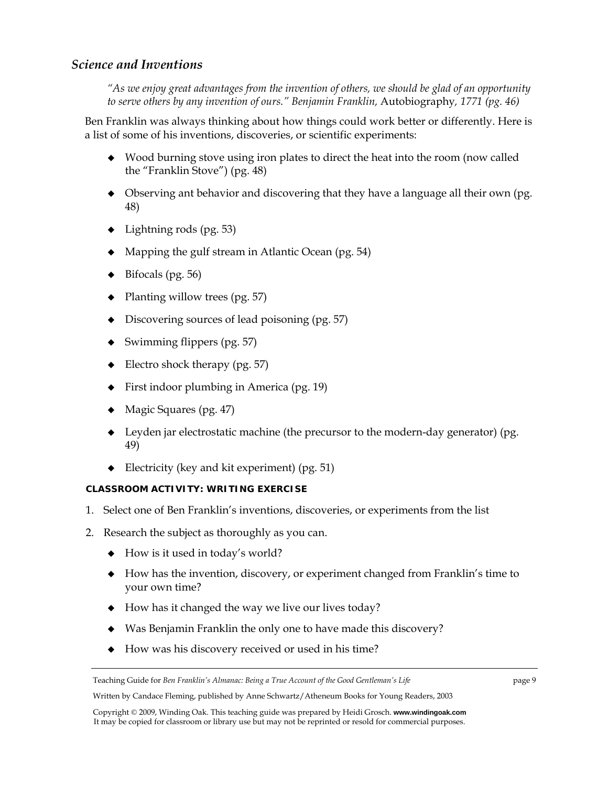# *Science and Inventions*

*"As we enjoy great advantages from the invention of others, we should be glad of an opportunity to serve others by any invention of ours." Benjamin Franklin,* Autobiography*, 1771 (pg. 46)* 

Ben Franklin was always thinking about how things could work better or differently. Here is a list of some of his inventions, discoveries, or scientific experiments:

- Wood burning stove using iron plates to direct the heat into the room (now called the "Franklin Stove") (pg. 48)
- Observing ant behavior and discovering that they have a language all their own (pg. 48)
- $\blacklozenge$  Lightning rods (pg. 53)
- Mapping the gulf stream in Atlantic Ocean (pg. 54)
- Bifocals (pg. 56)
- Planting willow trees (pg. 57)
- Discovering sources of lead poisoning (pg. 57)
- $\bullet$  Swimming flippers (pg. 57)
- $\triangleleft$  Electro shock therapy (pg. 57)
- ◆ First indoor plumbing in America (pg. 19)
- Magic Squares (pg. 47)
- $\blacklozenge$  Leyden jar electrostatic machine (the precursor to the modern-day generator) (pg. 49)
- Electricity (key and kit experiment) (pg. 51)

# **CLASSROOM ACTIVITY: WRITING EXERCISE**

- 1. Select one of Ben Franklin's inventions, discoveries, or experiments from the list
- 2. Research the subject as thoroughly as you can.
	- $\leftrightarrow$  How is it used in today's world?
	- How has the invention, discovery, or experiment changed from Franklin's time to your own time?
	- $\blacklozenge$  How has it changed the way we live our lives today?
	- Was Benjamin Franklin the only one to have made this discovery?
	- How was his discovery received or used in his time?

Written by Candace Fleming, published by Anne Schwartz/Atheneum Books for Young Readers, 2003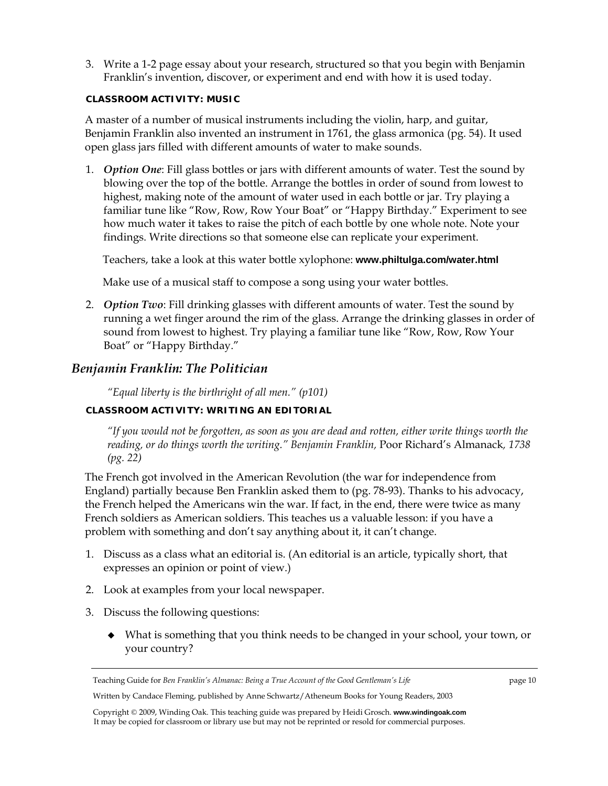3. Write a 1-2 page essay about your research, structured so that you begin with Benjamin Franklin's invention, discover, or experiment and end with how it is used today.

### **CLASSROOM ACTIVITY: MUSIC**

A master of a number of musical instruments including the violin, harp, and guitar, Benjamin Franklin also invented an instrument in 1761, the glass armonica (pg. 54). It used open glass jars filled with different amounts of water to make sounds.

1. *Option One*: Fill glass bottles or jars with different amounts of water. Test the sound by blowing over the top of the bottle. Arrange the bottles in order of sound from lowest to highest, making note of the amount of water used in each bottle or jar. Try playing a familiar tune like "Row, Row, Row Your Boat" or "Happy Birthday." Experiment to see how much water it takes to raise the pitch of each bottle by one whole note. Note your findings. Write directions so that someone else can replicate your experiment.

Teachers, take a look at this water bottle xylophone: **www.philtulga.com/water.html** 

Make use of a musical staff to compose a song using your water bottles.

2. *Option Two*: Fill drinking glasses with different amounts of water. Test the sound by running a wet finger around the rim of the glass. Arrange the drinking glasses in order of sound from lowest to highest. Try playing a familiar tune like "Row, Row, Row Your Boat" or "Happy Birthday."

# *Benjamin Franklin: The Politician*

*"Equal liberty is the birthright of all men." (p101)* 

# **CLASSROOM ACTIVITY: WRITING AN EDITORIAL**

*"If you would not be forgotten, as soon as you are dead and rotten, either write things worth the reading, or do things worth the writing." Benjamin Franklin,* Poor Richard's Almanack*, 1738 (pg. 22)* 

The French got involved in the American Revolution (the war for independence from England) partially because Ben Franklin asked them to (pg. 78-93). Thanks to his advocacy, the French helped the Americans win the war. If fact, in the end, there were twice as many French soldiers as American soldiers. This teaches us a valuable lesson: if you have a problem with something and don't say anything about it, it can't change.

- 1. Discuss as a class what an editorial is. (An editorial is an article, typically short, that expresses an opinion or point of view.)
- 2. Look at examples from your local newspaper.
- 3. Discuss the following questions:
	- What is something that you think needs to be changed in your school, your town, or your country?

Written by Candace Fleming, published by Anne Schwartz/Atheneum Books for Young Readers, 2003

Teaching Guide for *Ben Franklin's Almanac: Being a True Account of the Good Gentleman's Life* page 10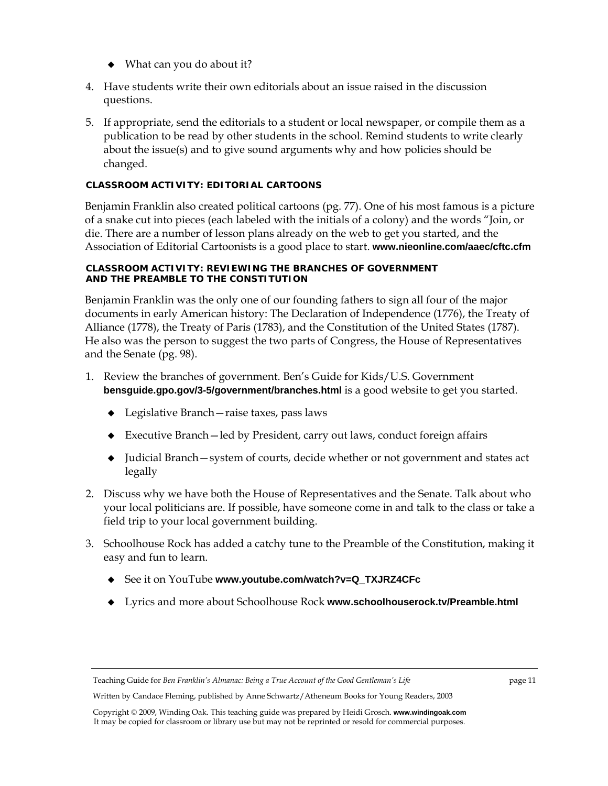- What can you do about it?
- 4. Have students write their own editorials about an issue raised in the discussion questions.
- 5. If appropriate, send the editorials to a student or local newspaper, or compile them as a publication to be read by other students in the school. Remind students to write clearly about the issue(s) and to give sound arguments why and how policies should be changed.

## **CLASSROOM ACTIVITY: EDITORIAL CARTOONS**

Benjamin Franklin also created political cartoons (pg. 77). One of his most famous is a picture of a snake cut into pieces (each labeled with the initials of a colony) and the words "Join, or die. There are a number of lesson plans already on the web to get you started, and the Association of Editorial Cartoonists is a good place to start. **www.nieonline.com/aaec/cftc.cfm**

### **CLASSROOM ACTIVITY: REVIEWING THE BRANCHES OF GOVERNMENT AND THE PREAMBLE TO THE CONSTITUTION**

Benjamin Franklin was the only one of our founding fathers to sign all four of the major documents in early American history: The Declaration of Independence (1776), the Treaty of Alliance (1778), the Treaty of Paris (1783), and the Constitution of the United States (1787). He also was the person to suggest the two parts of Congress, the House of Representatives and the Senate (pg. 98).

- 1. Review the branches of government. Ben's Guide for Kids/U.S. Government **bensguide.gpo.gov/3-5/government/branches.html** is a good website to get you started.
	- Legislative Branch—raise taxes, pass laws
	- Executive Branch—led by President, carry out laws, conduct foreign affairs
	- Judicial Branch—system of courts, decide whether or not government and states act legally
- 2. Discuss why we have both the House of Representatives and the Senate. Talk about who your local politicians are. If possible, have someone come in and talk to the class or take a field trip to your local government building.
- 3. Schoolhouse Rock has added a catchy tune to the Preamble of the Constitution, making it easy and fun to learn.
	- ◆ See it on YouTube www.youtube.com/watch?v=Q\_TXJRZ4CFc
	- Lyrics and more about Schoolhouse Rock **www.schoolhouserock.tv/Preamble.html**

Written by Candace Fleming, published by Anne Schwartz/Atheneum Books for Young Readers, 2003

Copyright © 2009, Winding Oak. This teaching guide was prepared by Heidi Grosch. **www.windingoak.com**  It may be copied for classroom or library use but may not be reprinted or resold for commercial purposes.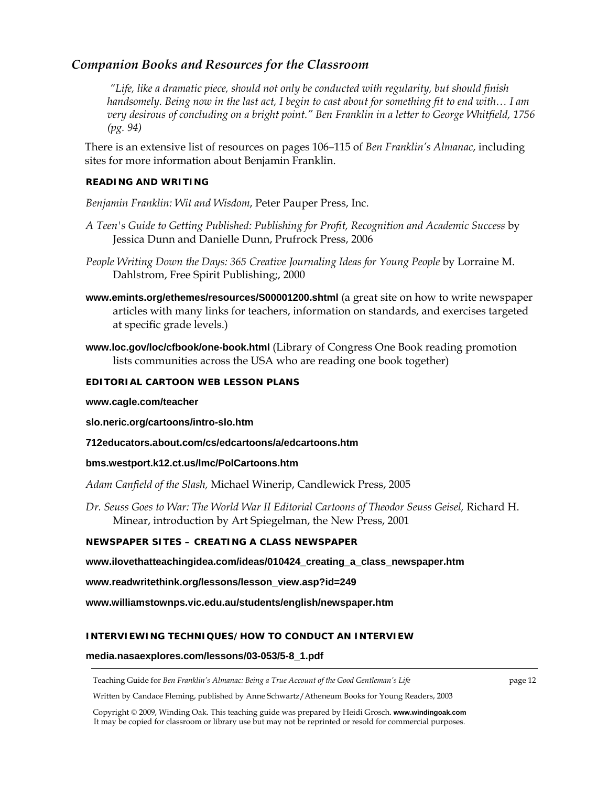# *Companion Books and Resources for the Classroom*

 *"Life, like a dramatic piece, should not only be conducted with regularity, but should finish handsomely. Being now in the last act, I begin to cast about for something fit to end with… I am very desirous of concluding on a bright point." Ben Franklin in a letter to George Whitfield, 1756 (pg. 94)* 

There is an extensive list of resources on pages 106–115 of *Ben Franklin's Almanac*, including sites for more information about Benjamin Franklin.

### **READING AND WRITING**

*Benjamin Franklin: Wit and Wisdom*, Peter Pauper Press, Inc.

- *A Teen's Guide to Getting Published: Publishing for Profit, Recognition and Academic Success* by Jessica Dunn and Danielle Dunn, Prufrock Press, 2006
- *People Writing Down the Days: 365 Creative Journaling Ideas for Young People* by Lorraine M. Dahlstrom, Free Spirit Publishing;, 2000
- **www.emints.org/ethemes/resources/S00001200.shtml** (a great site on how to write newspaper articles with many links for teachers, information on standards, and exercises targeted at specific grade levels.)
- **www.loc.gov/loc/cfbook/one-book.html** (Library of Congress One Book reading promotion lists communities across the USA who are reading one book together)

#### **EDITORIAL CARTOON WEB LESSON PLANS**

#### **www.cagle.com/teacher**

**slo.neric.org/cartoons/intro-slo.htm** 

**712educators.about.com/cs/edcartoons/a/edcartoons.htm** 

#### **bms.westport.k12.ct.us/lmc/PolCartoons.htm**

*Adam Canfield of the Slash,* Michael Winerip, Candlewick Press, 2005

*Dr. Seuss Goes to War: The World War II Editorial Cartoons of Theodor Seuss Geisel,* Richard H. Minear, introduction by Art Spiegelman, the New Press, 2001

## **NEWSPAPER SITES – CREATING A CLASS NEWSPAPER**

**www.ilovethatteachingidea.com/ideas/010424\_creating\_a\_class\_newspaper.htm** 

**www.readwritethink.org/lessons/lesson\_view.asp?id=249** 

**www.williamstownps.vic.edu.au/students/english/newspaper.htm**

#### **INTERVIEWING TECHNIQUES/HOW TO CONDUCT AN INTERVIEW**

#### **media.nasaexplores.com/lessons/03-053/5-8\_1.pdf**

Teaching Guide for *Ben Franklin's Almanac: Being a True Account of the Good Gentleman's Life* page 12

Written by Candace Fleming, published by Anne Schwartz/Atheneum Books for Young Readers, 2003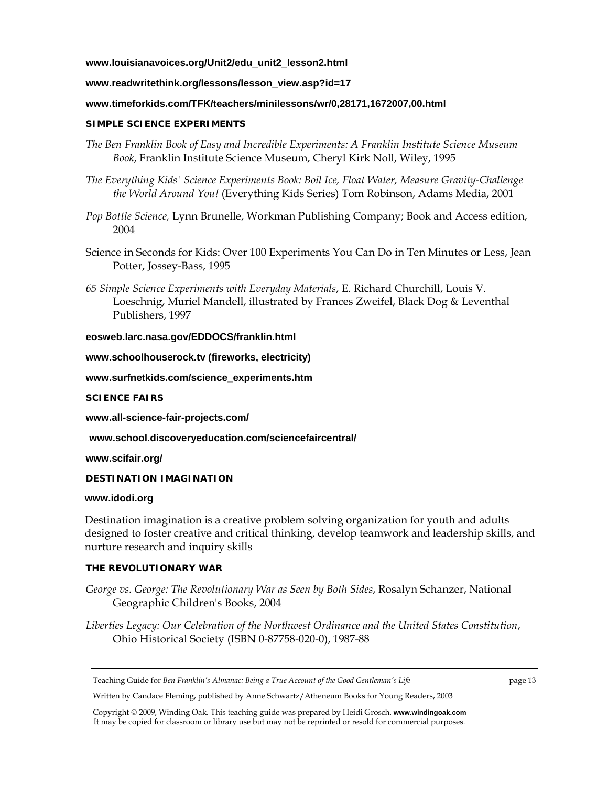### **www.louisianavoices.org/Unit2/edu\_unit2\_lesson2.html**

#### **www.readwritethink.org/lessons/lesson\_view.asp?id=17**

#### **www.timeforkids.com/TFK/teachers/minilessons/wr/0,28171,1672007,00.html**

#### **SIMPLE SCIENCE EXPERIMENTS**

- *The Ben Franklin Book of Easy and Incredible Experiments: A Franklin Institute Science Museum Book*, Franklin Institute Science Museum, Cheryl Kirk Noll, Wiley, 1995
- *The Everything Kids' Science Experiments Book: Boil Ice, Float Water, Measure Gravity-Challenge the World Around You!* (Everything Kids Series) Tom Robinson, Adams Media, 2001
- *Pop Bottle Science,* Lynn Brunelle, Workman Publishing Company; Book and Access edition, 2004
- Science in Seconds for Kids: Over 100 Experiments You Can Do in Ten Minutes or Less, Jean Potter, Jossey-Bass, 1995
- *65 Simple Science Experiments with Everyday Materials*, E. Richard Churchill, Louis V. Loeschnig, Muriel Mandell, illustrated by Frances Zweifel, Black Dog & Leventhal Publishers, 1997

#### **eosweb.larc.nasa.gov/EDDOCS/franklin.html**

**www.schoolhouserock.tv (fireworks, electricity)** 

**www.surfnetkids.com/science\_experiments.htm** 

#### **SCIENCE FAIRS**

**www.all-science-fair-projects.com/** 

**www.school.discoveryeducation.com/sciencefaircentral/** 

**www.scifair.org/** 

#### **DESTINATION IMAGINATION**

#### **www.idodi.org**

Destination imagination is a creative problem solving organization for youth and adults designed to foster creative and critical thinking, develop teamwork and leadership skills, and nurture research and inquiry skills

## **THE REVOLUTIONARY WAR**

- *George vs. George: The Revolutionary War as Seen by Both Sides*, Rosalyn Schanzer, National Geographic Children's Books, 2004
- *Liberties Legacy: Our Celebration of the Northwest Ordinance and the United States Constitution*, Ohio Historical Society (ISBN 0-87758-020-0), 1987-88

Written by Candace Fleming, published by Anne Schwartz/Atheneum Books for Young Readers, 2003

Teaching Guide for *Ben Franklin's Almanac: Being a True Account of the Good Gentleman's Life* page 13